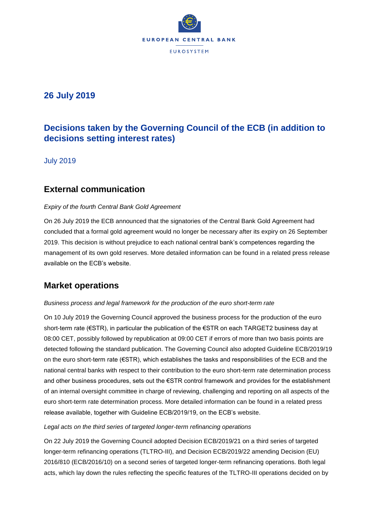

# **26 July 2019**

# **Decisions taken by the Governing Council of the ECB (in addition to decisions setting interest rates)**

July 2019

# **External communication**

## *Expiry of the fourth Central Bank Gold Agreement*

On 26 July 2019 the ECB announced that the signatories of the Central Bank Gold Agreement had concluded that a formal gold agreement would no longer be necessary after its expiry on 26 September 2019. This decision is without prejudice to each national central bank's competences regarding the management of its own gold reserves. More detailed information can be found in a related press release available on the ECB's website.

# **Market operations**

## *Business process and legal framework for the production of the euro short-term rate*

On 10 July 2019 the Governing Council approved the business process for the production of the euro short-term rate (€STR), in particular the publication of the €STR on each TARGET2 business day at 08:00 CET, possibly followed by republication at 09:00 CET if errors of more than two basis points are detected following the standard publication. The Governing Council also adopted Guideline ECB/2019/19 on the euro short-term rate (€STR), which establishes the tasks and responsibilities of the ECB and the national central banks with respect to their contribution to the euro short-term rate determination process and other business procedures, sets out the €STR control framework and provides for the establishment of an internal oversight committee in charge of reviewing, challenging and reporting on all aspects of the euro short-term rate determination process. More detailed information can be found in a related press release available, together with Guideline ECB/2019/19, on the ECB's website.

## *Legal acts on the third series of targeted longer-term refinancing operations*

On 22 July 2019 the Governing Council adopted Decision ECB/2019/21 on a third series of targeted longer-term refinancing operations (TLTRO-III), and Decision ECB/2019/22 amending Decision (EU) 2016/810 (ECB/2016/10) on a second series of targeted longer-term refinancing operations. Both legal acts, which lay down the rules reflecting the specific features of the TLTRO-III operations decided on by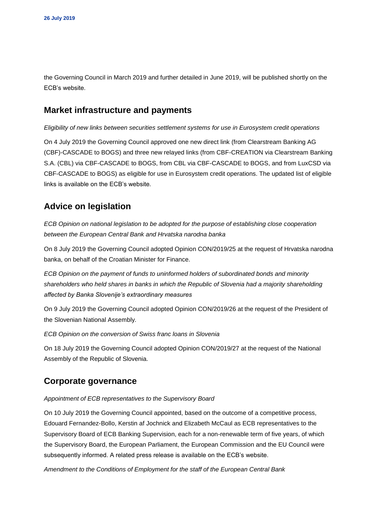the Governing Council in March 2019 and further detailed in June 2019, will be published shortly on the ECB's website.

## **Market infrastructure and payments**

*Eligibility of new links between securities settlement systems for use in Eurosystem credit operations*

On 4 July 2019 the Governing Council approved one new direct link (from Clearstream Banking AG (CBF)-CASCADE to BOGS) and three new relayed links (from CBF-CREATION via Clearstream Banking S.A. (CBL) via CBF-CASCADE to BOGS, from CBL via CBF-CASCADE to BOGS, and from LuxCSD via CBF-CASCADE to BOGS) as eligible for use in Eurosystem credit operations. The updated list of eligible links is available on the ECB's website*.*

# **Advice on legislation**

*ECB Opinion on national legislation to be adopted for the purpose of establishing close cooperation between the European Central Bank and Hrvatska narodna banka*

On 8 July 2019 the Governing Council adopted Opinion CON/2019/25 at the request of Hrvatska narodna banka, on behalf of the Croatian Minister for Finance.

*ECB Opinion on the payment of funds to uninformed holders of subordinated bonds and minority shareholders who held shares in banks in which the Republic of Slovenia had a majority shareholding affected by Banka Slovenije's extraordinary measures*

On 9 July 2019 the Governing Council adopted Opinion CON/2019/26 at the request of the President of the Slovenian National Assembly.

*ECB Opinion on the conversion of Swiss franc loans in Slovenia*

On 18 July 2019 the Governing Council adopted Opinion CON/2019/27 at the request of the National Assembly of the Republic of Slovenia.

## **Corporate governance**

### *Appointment of ECB representatives to the Supervisory Board*

On 10 July 2019 the Governing Council appointed, based on the outcome of a competitive process, Edouard Fernandez-Bollo, Kerstin af Jochnick and Elizabeth McCaul as ECB representatives to the Supervisory Board of ECB Banking Supervision, each for a non-renewable term of five years, of which the Supervisory Board, the European Parliament, the European Commission and the EU Council were subsequently informed. A related press release is available on the ECB's website.

*Amendment to the Conditions of Employment for the staff of the European Central Bank*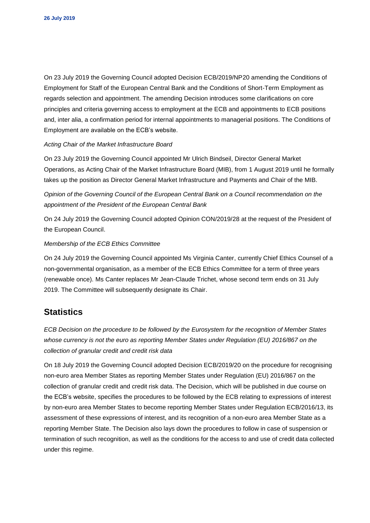On 23 July 2019 the Governing Council adopted Decision ECB/2019/NP20 amending the Conditions of Employment for Staff of the European Central Bank and the Conditions of Short-Term Employment as regards selection and appointment. The amending Decision introduces some clarifications on core principles and criteria governing access to employment at the ECB and appointments to ECB positions and, inter alia, a confirmation period for internal appointments to managerial positions. The Conditions of Employment are available on the ECB's website.

### *Acting Chair of the Market Infrastructure Board*

On 23 July 2019 the Governing Council appointed Mr Ulrich Bindseil, Director General Market Operations, as Acting Chair of the Market Infrastructure Board (MIB), from 1 August 2019 until he formally takes up the position as Director General Market Infrastructure and Payments and Chair of the MIB.

*Opinion of the Governing Council of the European Central Bank on a Council recommendation on the appointment of the President of the European Central Bank*

On 24 July 2019 the Governing Council adopted Opinion CON/2019/28 at the request of the President of the European Council.

#### *Membership of the ECB Ethics Committee*

On 24 July 2019 the Governing Council appointed Ms Virginia Canter, currently Chief Ethics Counsel of a non-governmental organisation, as a member of the ECB Ethics Committee for a term of three years (renewable once). Ms Canter replaces Mr Jean-Claude Trichet, whose second term ends on 31 July 2019. The Committee will subsequently designate its Chair.

## **Statistics**

*ECB Decision on the procedure to be followed by the Eurosystem for the recognition of Member States whose currency is not the euro as reporting Member States under Regulation (EU) 2016/867 on the collection of granular credit and credit risk data* 

On 18 July 2019 the Governing Council adopted Decision ECB/2019/20 on the procedure for recognising non-euro area Member States as reporting Member States under Regulation (EU) 2016/867 on the collection of granular credit and credit risk data. The Decision, which will be published in due course on the ECB's website, specifies the procedures to be followed by the ECB relating to expressions of interest by non-euro area Member States to become reporting Member States under Regulation ECB/2016/13, its assessment of these expressions of interest, and its recognition of a non-euro area Member State as a reporting Member State. The Decision also lays down the procedures to follow in case of suspension or termination of such recognition, as well as the conditions for the access to and use of credit data collected under this regime.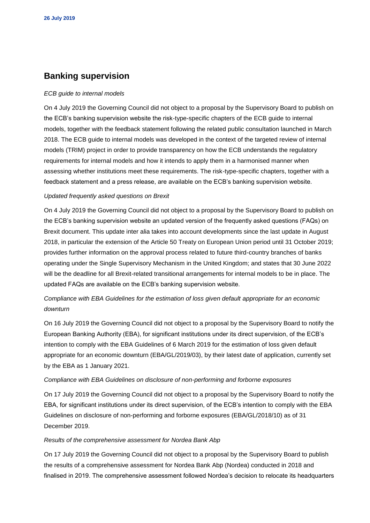## **Banking supervision**

#### *ECB guide to internal models*

On 4 July 2019 the Governing Council did not object to a proposal by the Supervisory Board to publish on the ECB's banking supervision website the risk-type-specific chapters of the ECB guide to internal models, together with the feedback statement following the related public consultation launched in March 2018. The ECB guide to internal models was developed in the context of the targeted review of internal models (TRIM) project in order to provide transparency on how the ECB understands the regulatory requirements for internal models and how it intends to apply them in a harmonised manner when assessing whether institutions meet these requirements. The risk-type-specific chapters, together with a feedback statement and a press release, are available on the ECB's banking supervision website.

#### *Updated frequently asked questions on Brexit*

On 4 July 2019 the Governing Council did not object to a proposal by the Supervisory Board to publish on the ECB's banking supervision website an updated version of the frequently asked questions (FAQs) on Brexit document. This update inter alia takes into account developments since the last update in August 2018, in particular the extension of the Article 50 Treaty on European Union period until 31 October 2019; provides further information on the approval process related to future third-country branches of banks operating under the Single Supervisory Mechanism in the United Kingdom; and states that 30 June 2022 will be the deadline for all Brexit-related transitional arrangements for internal models to be in place. The updated FAQs are available on the ECB's banking supervision website.

## *Compliance with EBA Guidelines for the estimation of loss given default appropriate for an economic downturn*

On 16 July 2019 the Governing Council did not object to a proposal by the Supervisory Board to notify the European Banking Authority (EBA), for significant institutions under its direct supervision, of the ECB's intention to comply with the EBA Guidelines of 6 March 2019 for the estimation of loss given default appropriate for an economic downturn (EBA/GL/2019/03), by their latest date of application, currently set by the EBA as 1 January 2021.

#### *Compliance with EBA Guidelines on disclosure of non-performing and forborne exposures*

On 17 July 2019 the Governing Council did not object to a proposal by the Supervisory Board to notify the EBA, for significant institutions under its direct supervision, of the ECB's intention to comply with the EBA Guidelines on disclosure of non-performing and forborne exposures (EBA/GL/2018/10) as of 31 December 2019.

#### *Results of the comprehensive assessment for Nordea Bank Abp*

On 17 July 2019 the Governing Council did not object to a proposal by the Supervisory Board to publish the results of a comprehensive assessment for Nordea Bank Abp (Nordea) conducted in 2018 and finalised in 2019. The comprehensive assessment followed Nordea's decision to relocate its headquarters